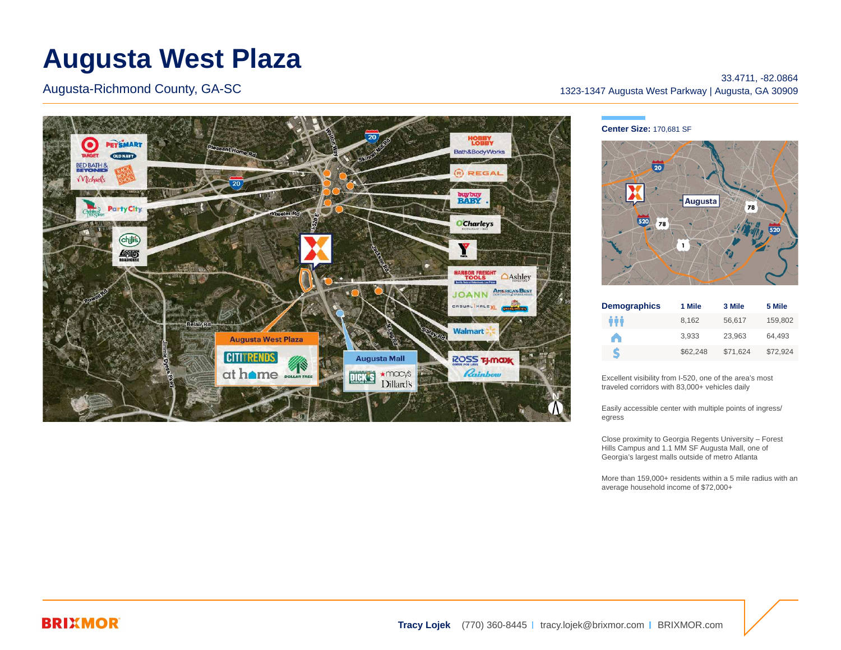# **Augusta West Plaza**

Augusta-Richmond County, GA-SC



33.4711, -82.0864 1323-1347 Augusta West Parkway | Augusta, GA 30909

#### **Center Size:** 170,681 SF



| <b>Demographics</b> | 1 Mile   | 3 Mile   | 5 Mile   |
|---------------------|----------|----------|----------|
| ŵ                   | 8.162    | 56,617   | 159.802  |
| A                   | 3.933    | 23.963   | 64.493   |
| S                   | \$62,248 | \$71.624 | \$72.924 |

Excellent visibility from I-520, one of the area's most traveled corridors with 83,000+ vehicles daily

Easily accessible center with multiple points of ingress/ egress

Close proximity to Georgia Regents University – Forest Hills Campus and 1.1 MM SF Augusta Mall, one of Georgia's largest malls outside of metro Atlanta

More than 159,000+ residents within a 5 mile radius with an average household income of \$72,000+

## **BRIXMOR**